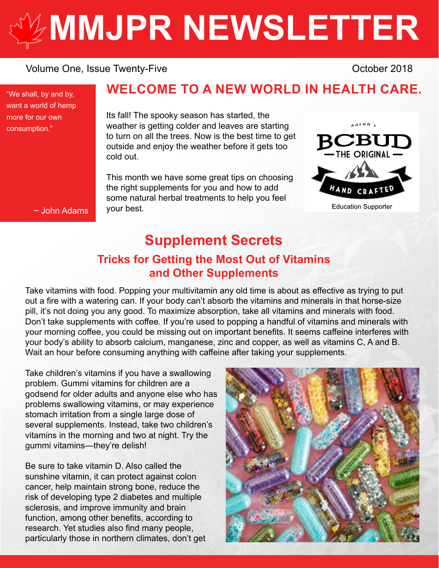# **[MMJPR NEWSLETTER](http://mmjpr.ca)**

#### Volume One, Issue Twenty-Five **Containers** Containers Containers October 2018

"We shall, by and by, want a world of hemp more for our own consumption."

### **WELCOME TO A NEW WORLD IN HEALTH CARE.**

Its fall! The spooky season has started, the weather is getting colder and leaves are starting to turn on all the trees. Now is the best time to get outside and enjoy the weather before it gets too cold out.

This month we have some great tips on choosing the right supplements for you and how to add some natural herbal treatments to help you feel your best.



~ John Adams

## **Supplement Secrets Tricks for Getting the Most Out of Vitamins and Other Supplements**

Take vitamins with food. Popping your multivitamin any old time is about as effective as trying to put out a fire with a watering can. If your body can't absorb the vitamins and minerals in that horse-size pill, it's not doing you any good. To maximize absorption, take all vitamins and minerals with food. Don't take supplements with coffee. If you're used to popping a handful of vitamins and minerals with your morning coffee, you could be missing out on important benefits. It seems caffeine interferes with your body's ability to absorb calcium, manganese, zinc and copper, as well as vitamins C, A and B. Wait an hour before consuming anything with caffeine after taking your supplements.

Take children's vitamins if you have a swallowing problem. Gummi vitamins for children are a godsend for older adults and anyone else who has problems swallowing vitamins, or may experience stomach irritation from a single large dose of several supplements. Instead, take two children's vitamins in the morning and two at night. Try the gummi vitamins—they're delish!

Be sure to take vitamin D. Also called the sunshine vitamin, it can protect against colon cancer, help maintain strong bone, reduce the risk of developing type 2 diabetes and multiple sclerosis, and improve immunity and brain function, among other benefits, according to research. Yet studies also find many people, particularly those in northern climates, don't get

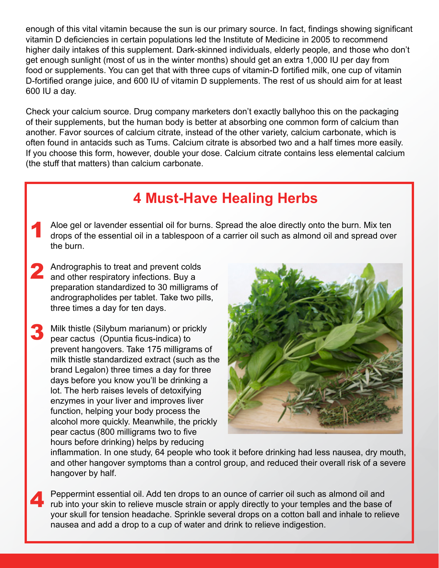enough of this vital vitamin because the sun is our primary source. In fact, findings showing significant vitamin D deficiencies in certain populations led the Institute of Medicine in 2005 to recommend higher daily intakes of this supplement. Dark-skinned individuals, elderly people, and those who don't get enough sunlight (most of us in the winter months) should get an extra 1,000 IU per day from food or supplements. You can get that with three cups of vitamin-D fortified milk, one cup of vitamin D-fortified orange juice, and 600 IU of vitamin D supplements. The rest of us should aim for at least 600 IU a day.

Check your calcium source. Drug company marketers don't exactly ballyhoo this on the packaging of their supplements, but the human body is better at absorbing one common form of calcium than another. Favor sources of calcium citrate, instead of the other variety, calcium carbonate, which is often found in antacids such as Tums. Calcium citrate is absorbed two and a half times more easily. If you choose this form, however, double your dose. Calcium citrate contains less elemental calcium (the stuff that matters) than calcium carbonate.

# **4 Must-Have Healing Herbs**

- Aloe gel or lavender essential oil for burns. Spread the aloe directly onto the burn. Mix ten drops of the essential oil in a tablespoon of a carrier oil such as almond oil and spread over the burn. 1
- Andrographis to treat and prevent colds and other respiratory infections. Buy a preparation standardized to 30 milligrams of andrographolides per tablet. Take two pills, three times a day for ten days. 2
- Milk thistle (Silybum marianum) or prickly pear cactus (Opuntia ficus-indica) to prevent hangovers. Take 175 milligrams of milk thistle standardized extract (such as the brand Legalon) three times a day for three days before you know you'll be drinking a lot. The herb raises levels of detoxifying enzymes in your liver and improves liver function, helping your body process the alcohol more quickly. Meanwhile, the prickly pear cactus (800 milligrams two to five hours before drinking) helps by reducing 3



inflammation. In one study, 64 people who took it before drinking had less nausea, dry mouth, and other hangover symptoms than a control group, and reduced their overall risk of a severe hangover by half.

Peppermint essential oil. Add ten drops to an ounce of carrier oil such as almond oil and rub into your skin to relieve muscle strain or apply directly to your temples and the base of your skull for tension headache. Sprinkle several drops on a cotton ball and inhale to relieve nausea and add a drop to a cup of water and drink to relieve indigestion. 4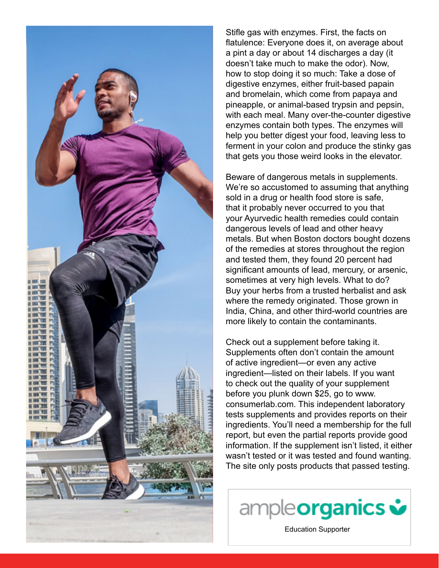

Stifle gas with enzymes. First, the facts on flatulence: Everyone does it, on average about a pint a day or about 14 discharges a day (it doesn't take much to make the odor). Now, how to stop doing it so much: Take a dose of digestive enzymes, either fruit-based papain and bromelain, which come from papaya and pineapple, or animal-based trypsin and pepsin, with each meal. Many over-the-counter digestive enzymes contain both types. The enzymes will help you better digest your food, leaving less to ferment in your colon and produce the stinky gas that gets you those weird looks in the elevator.

Beware of dangerous metals in supplements. We're so accustomed to assuming that anything sold in a drug or health food store is safe, that it probably never occurred to you that your Ayurvedic health remedies could contain dangerous levels of lead and other heavy metals. But when Boston doctors bought dozens of the remedies at stores throughout the region and tested them, they found 20 percent had significant amounts of lead, mercury, or arsenic, sometimes at very high levels. What to do? Buy your herbs from a trusted herbalist and ask where the remedy originated. Those grown in India, China, and other third-world countries are more likely to contain the contaminants.

Check out a supplement before taking it. Supplements often don't contain the amount of active ingredient—or even any active ingredient—listed on their labels. If you want to check out the quality of your supplement before you plunk down \$25, go to www. consumerlab.com. This independent laboratory tests supplements and provides reports on their ingredients. You'll need a membership for the full report, but even the partial reports provide good information. If the supplement isn't listed, it either wasn't tested or it was tested and found wanting. The site only posts products that passed testing.